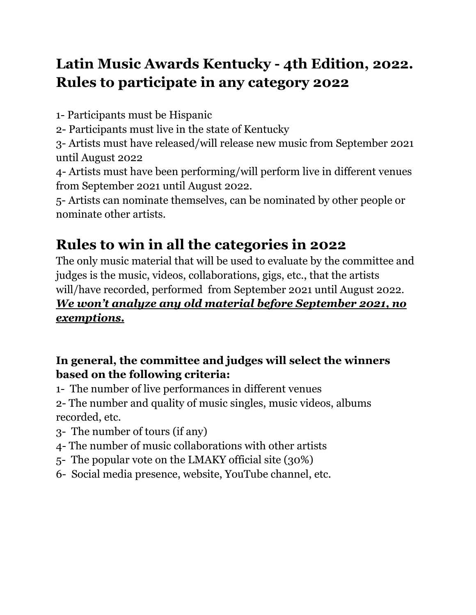### **Latin Music Awards Kentucky - 4th Edition, 2022. Rules to participate in any category 2022**

1- Participants must be Hispanic

2- Participants must live in the state of Kentucky

3- Artists must have released/will release new music from September 2021 until August 2022

4- Artists must have been performing/will perform live in different venues from September 2021 until August 2022.

5- Artists can nominate themselves, can be nominated by other people or nominate other artists.

# **Rules to win in all the categories in 2022**

The only music material that will be used to evaluate by the committee and judges is the music, videos, collaborations, gigs, etc., that the artists will/have recorded, performed from September 2021 until August 2022.

### *We won't analyze any old material before September 2021, no exemptions.*

### **In general, the committee and judges will select the winners based on the following criteria:**

1- The number of live performances in different venues

2- The number and quality of music singles, music videos, albums recorded, etc.

- 3- The number of tours (if any)
- 4- The number of music collaborations with other artists
- 5- The popular vote on the LMAKY official site (30%)
- 6- Social media presence, website, YouTube channel, etc.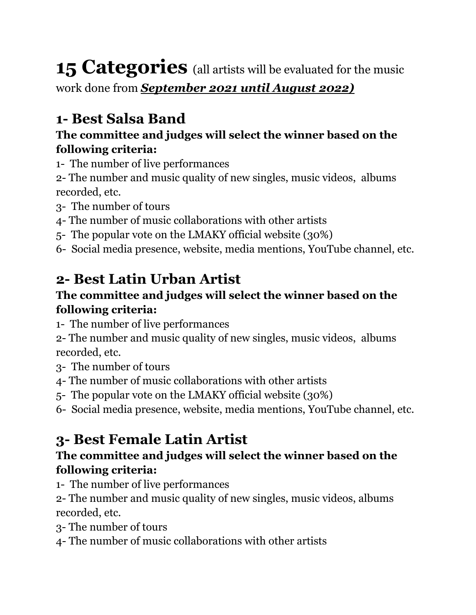# **15 Categories** (all artists will be evaluated for the music work done from *September 2021 until August 2022)*

# **1- Best Salsa Band**

### **The committee and judges will select the winner based on the following criteria:**

1- The number of live performances

2- The number and music quality of new singles, music videos, albums recorded, etc.

- 3- The number of tours
- 4- The number of music collaborations with other artists
- 5- The popular vote on the LMAKY official website (30%)
- 6- Social media presence, website, media mentions, YouTube channel, etc.

# **2- Best Latin Urban Artist**

#### **The committee and judges will select the winner based on the following criteria:**

1- The number of live performances

2- The number and music quality of new singles, music videos, albums recorded, etc.

3- The number of tours

4- The number of music collaborations with other artists

5- The popular vote on the LMAKY official website (30%)

6- Social media presence, website, media mentions, YouTube channel, etc.

# **3- Best Female Latin Artist**

### **The committee and judges will select the winner based on the following criteria:**

1- The number of live performances

2- The number and music quality of new singles, music videos, albums recorded, etc.

3- The number of tours

4- The number of music collaborations with other artists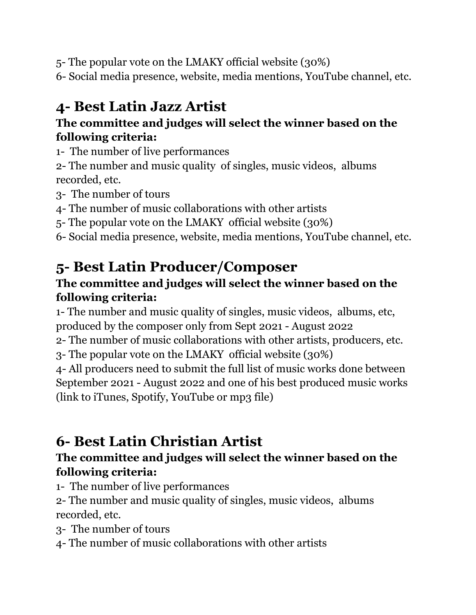- 5- The popular vote on the LMAKY official website (30%)
- 6- Social media presence, website, media mentions, YouTube channel, etc.

# **4- Best Latin Jazz Artist**

#### **The committee and judges will select the winner based on the following criteria:**

1- The number of live performances

2- The number and music quality of singles, music videos, albums recorded, etc.

3- The number of tours

4- The number of music collaborations with other artists

5- The popular vote on the LMAKY official website (30%)

6- Social media presence, website, media mentions, YouTube channel, etc.

## **5- Best Latin Producer/Composer**

#### **The committee and judges will select the winner based on the following criteria:**

1- The number and music quality of singles, music videos, albums, etc, produced by the composer only from Sept 2021 - August 2022

2- The number of music collaborations with other artists, producers, etc. 3- The popular vote on the LMAKY official website (30%)

4- All producers need to submit the full list of music works done between September 2021 - August 2022 and one of his best produced music works (link to iTunes, Spotify, YouTube or mp3 file)

# **6- Best Latin Christian Artist**

#### **The committee and judges will select the winner based on the following criteria:**

1- The number of live performances

2- The number and music quality of singles, music videos, albums recorded, etc.

3- The number of tours

4- The number of music collaborations with other artists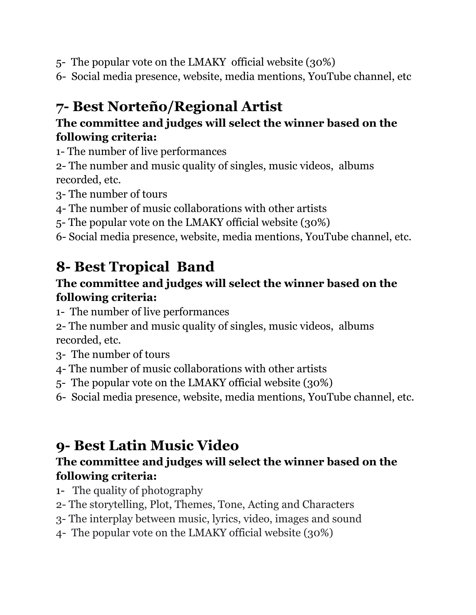- 5- The popular vote on the LMAKY official website (30%)
- 6- Social media presence, website, media mentions, YouTube channel, etc

# **7- Best Norteño/Regional Artist**

### **The committee and judges will select the winner based on the following criteria:**

1- The number of live performances

2- The number and music quality of singles, music videos, albums recorded, etc.

3- The number of tours

4- The number of music collaborations with other artists

5- The popular vote on the LMAKY official website (30%)

6- Social media presence, website, media mentions, YouTube channel, etc.

## **8- Best Tropical Band**

#### **The committee and judges will select the winner based on the following criteria:**

1- The number of live performances

2- The number and music quality of singles, music videos, albums recorded, etc.

3- The number of tours

4- The number of music collaborations with other artists

5- The popular vote on the LMAKY official website (30%)

6- Social media presence, website, media mentions, YouTube channel, etc.

### **9- Best Latin Music Video**

#### **The committee and judges will select the winner based on the following criteria:**

1- The quality of photography

2- The storytelling, Plot, Themes, Tone, Acting and Characters

3- The interplay between music, lyrics, video, images and sound

4- The popular vote on the LMAKY official website (30%)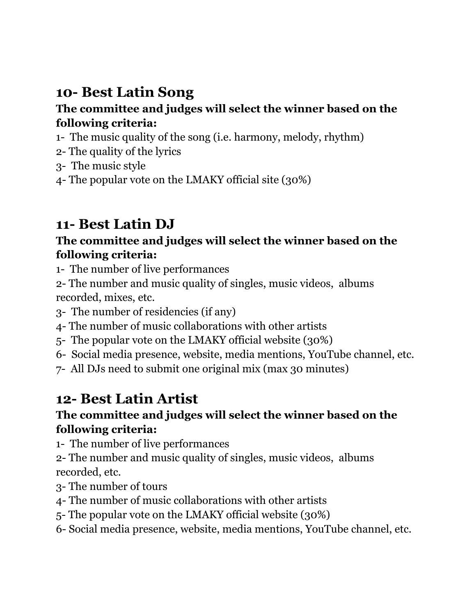### **10- Best Latin Song**

#### **The committee and judges will select the winner based on the following criteria:**

- 1- The music quality of the song (i.e. harmony, melody, rhythm)
- 2- The quality of the lyrics
- 3- The music style
- 4- The popular vote on the LMAKY official site (30%)

### **11- Best Latin DJ**

#### **The committee and judges will select the winner based on the following criteria:**

- 1- The number of live performances
- 2- The number and music quality of singles, music videos, albums recorded, mixes, etc.
- 3- The number of residencies (if any)
- 4- The number of music collaborations with other artists
- 5- The popular vote on the LMAKY official website (30%)
- 6- Social media presence, website, media mentions, YouTube channel, etc.
- 7- All DJs need to submit one original mix (max 30 minutes)

### **12- Best Latin Artist**

#### **The committee and judges will select the winner based on the following criteria:**

- 1- The number of live performances
- 2- The number and music quality of singles, music videos, albums recorded, etc.
- 3- The number of tours
- 4- The number of music collaborations with other artists
- 5- The popular vote on the LMAKY official website (30%)
- 6- Social media presence, website, media mentions, YouTube channel, etc.